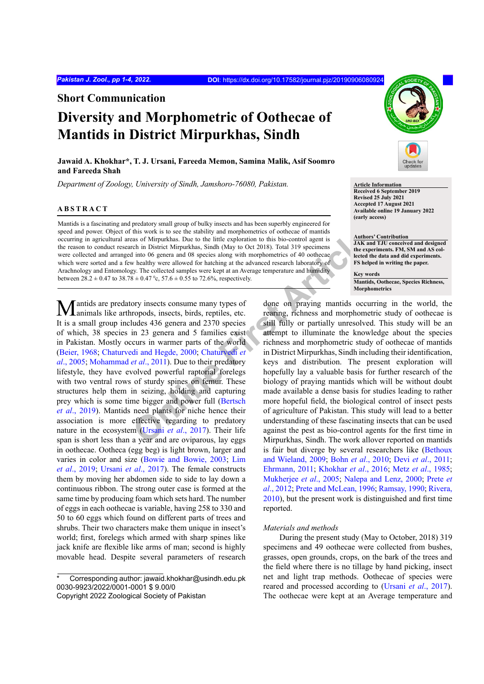**Short Communication**

# **Diversity and Morphometric of Oothecae of Mantids in District Mirpurkhas, Sindh**

# **Jawaid A. Khokhar\*, T. J. Ursani, Fareeda Memon, Samina Malik, Asif Soomro and Fareeda Shah**

*Department of Zoology, University of Sindh, Jamshoro-76080, Pakistan.* **Article Information** 

### **ABSTRACT**

Mantids is a fascinating and predatory small group of bulky insects and has been superbly engineered for speed and power. Object of this work is to see the stability and morphometrics of oothecae of mantids occurring in agricultural areas of Mirpurkhas. Due to the little exploration to this bio-control agent is the reason to conduct research in District Mirpurkhas, Sindh (May to Oct 2018). Total 319 specimens were collected and arranged into 06 genera and 08 species along with morphometrics of 40 oothecae which were sorted and a few healthy were allowed for hatching at the advanced research laboratory of Arachnology and Entomology. The collected samples were kept at an Average temperature and humidity between  $28.2 \pm 0.47$  to  $38.78 \pm 0.47$  °c,  $57.6 \pm 0.55$  to 72.6%, respectively.

this work is to see the stability and morphometries of odiceas of manitos Due to the little exploration to this bio-control agent is<br>
the one on District Mirpurkhas. Sindh (May to Oct 2018). Total 319 specimens<br>
the respec **Mantids are predatory insects consume many types of** animals like arthropods, insects, birds, reptiles, etc. It is a small group includes 436 genera and 2370 species of which, 38 species in 23 genera and 5 families exist in Pakistan. Mostly occurs in warmer parts of the world [\(Beier, 1968;](#page-2-0) [Chaturvedi and Hegde, 2000;](#page-2-1) Chaturvedi *et al*[., 2005;](#page-2-2) Mohammad *et al*., 2011). Due to their predatory lifestyle, they have evolved powerful raptorial forelegs with two ventral rows of sturdy spines on femur. These structures help them in seizing, holding and capturing prey which is some time bigger and power full (Bertsch *et al*[., 2019\)](#page-2-3). Mantids need plants for niche hence their association is more effective regarding to predatory nature in the ecosystem (Ursani *et al*., 2017). Their life span is short less than a year and are oviparous, lay eggs in oothecae. Ootheca (egg beg) is light brown, larger and varies in color and size ([Bowie and Bowie, 2003;](#page-2-4) [Lim](#page-3-2) *et al*[., 2019](#page-3-2); [Ursani](#page-3-1) *et al*., 2017). The female constructs them by moving her abdomen side to side to lay down a continuous ribbon. The strong outer case is formed at the same time by producing foam which sets hard. The number of eggs in each oothecae is variable, having 258 to 330 and 50 to 60 eggs which found on different parts of trees and shrubs. Their two characters make them unique in insect's world; first, forelegs which armed with sharp spines like jack knife are flexible like arms of man; second is highly movable head. Despite several parameters of research

Corresponding author: jawaid.khokhar@usindh.edu.pk 0030-9923/2022/0001-0001 \$ 9.00/0



**Received 6 September 2019 Revised 25 July 2021 Accepted 17 August 2021 Available online 19 January 2022 (early access)**

**Authors' Contribution JAK and TJU conceived and designed the experiments. FM, SM and AS collected the data and did experiments. FS helped in writing the paper.**

**Key words Mantids, Oothecae, Species Richness, Morphometrics**

done on praying mantids occurring in the world, the rearing, richness and morphometric study of oothecae is still fully or partially unresolved. This study will be an attempt to illuminate the knowledge about the species richness and morphometric study of oothecae of mantids in District Mirpurkhas, Sindh including their identification, keys and distribution. The present exploration will hopefully lay a valuable basis for further research of the biology of praying mantids which will be without doubt made available a dense basis for studies leading to rather more hopeful field, the biological control of insect pests of agriculture of Pakistan. This study will lead to a better understanding of these fascinating insects that can be used against the pest as bio-control agents for the first time in Mirpurkhas, Sindh. The work allover reported on mantids is fair but diverge by several researchers like ([Bethoux](#page-2-5) [and Wieland, 2009;](#page-2-5) Bohn *et al*[., 2010;](#page-2-6) Devi *et al*[., 2011;](#page-2-7) [Ehrmann, 2011](#page-3-3); [Khokhar](#page-3-4) *et al*., 2016; Metz *et al*[., 1985;](#page-3-5) [Mukherjee](#page-3-6) *et al*., 2005; [Nalepa and Lenz, 2000](#page-3-7); [Prete](#page-3-8) *et al*[., 2012;](#page-3-8) [Prete and McLean, 1996](#page-3-9); [Ramsay, 1990](#page-3-10); [Rivera,](#page-3-11) [2010](#page-3-11)), but the present work is distinguished and first time reported.

#### *Materials and methods*

During the present study (May to October, 2018) 319 specimens and 49 oothecae were collected from bushes, grasses, open grounds, crops, on the bark of the trees and the field where there is no tillage by hand picking, insect net and light trap methods. Oothecae of species were reared and processed according to [\(Ursani](#page-3-1) *et al*., 2017). The oothecae were kept at an Average temperature and

Copyright 2022 Zoological Society of Pakistan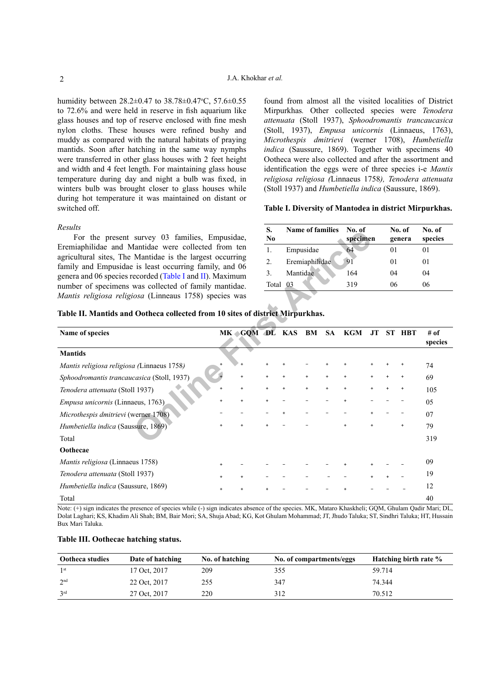humidity between  $28.2 \pm 0.47$  to  $38.78 \pm 0.47$ °C,  $57.6 \pm 0.55$ to 72.6% and were held in reserve in fish aquarium like glass houses and top of reserve enclosed with fine mesh nylon cloths. These houses were refined bushy and muddy as compared with the natural habitats of praying mantids. Soon after hatching in the same way nymphs were transferred in other glass houses with 2 feet height and width and 4 feet length. For maintaining glass house temperature during day and night a bulb was fixed, in winters bulb was brought closer to glass houses while during hot temperature it was maintained on distant or switched off.

#### *Results*

found from almost all the visited localities of District Mirpurkhas*.* Other collected species were *Tenodera attenuata* (Stoll 1937), *Sphoodromantis trancaucasica* (Stoll, 1937), *Empusa unicornis* (Linnaeus, 1763), *Microthespis dmitrievi* (werner 1708), *Humbetiella indica* (Saussure, 1869). Together with specimens 40 Ootheca were also collected and after the assortment and identification the eggs were of three species i-e *Mantis religiosa religiosa (*Linnaeus 1758*), Tenodera attenuata*  (Stoll 1937) and *Humbetiella indica* (Saussure, 1869).

## <span id="page-1-0"></span>**Table I. Diversity of Mantodea in district Mirpurkhas.**

| S.<br>N <sub>0</sub> | <b>Name of families</b> | No. of<br>specimen | No. of<br>genera | No. of<br>species |
|----------------------|-------------------------|--------------------|------------------|-------------------|
|                      | Empusidae               | 64                 | $\Omega$         | 01                |
| 2.                   | Eremiaphilidae          | 91                 | 01               | 01                |
|                      | Mantidae                | 164                | 04               | 04                |
| Total                | 03                      | 319                | 06               | 06                |

## <span id="page-1-1"></span>**Table II. Mantids and Ootheca collected from 10 sites of district Mirpurkhas.**

| For the present survey 03 families, Empusidae,                                                                      |  | ◡<br>N <sub>0</sub> | глание от танницем |    | 110. UI<br>specimen |           | 110. UI<br>genera |    | 110. UI<br>species |           |                 |
|---------------------------------------------------------------------------------------------------------------------|--|---------------------|--------------------|----|---------------------|-----------|-------------------|----|--------------------|-----------|-----------------|
| Eremiaphilidae and Mantidae were collected from ten                                                                 |  |                     | 1.                 |    | Empusidae           |           | 64                |    | 01                 |           | 01              |
| agricultural sites, The Mantidae is the largest occurring<br>family and Empusidae is least occurring family, and 06 |  |                     | 2.                 |    | Eremiaphilidae      |           | 91                |    | 01                 |           | 01              |
| genera and 06 species recorded (Table I and II). Maximum                                                            |  |                     | 3.                 |    | Mantidae            |           | 164               |    | 04                 |           | 04              |
| number of specimens was collected of family mantidae.                                                               |  |                     | Total              | 03 |                     |           | 319               |    | 06                 |           | 06              |
| Mantis religiosa religiosa (Linneaus 1758) species was                                                              |  |                     |                    |    |                     |           |                   |    |                    |           |                 |
| Table II. Mantids and Ootheca collected from 10 sites of district Mirpurkhas.                                       |  |                     |                    |    |                     |           |                   |    |                    |           |                 |
| Name of species                                                                                                     |  | MK GQM DL KAS       |                    |    | BM                  | <b>SA</b> | KGM               | JT |                    | ST HBT    | # of<br>species |
| <b>Mantids</b>                                                                                                      |  |                     |                    |    |                     |           |                   |    |                    |           |                 |
| <i>Mantis religiosa religiosa (Linnaeus 1758)</i>                                                                   |  |                     |                    |    |                     |           |                   |    |                    |           | 74              |
| Sphoodromantis trancaucasica (Stoll, 1937)                                                                          |  |                     |                    |    |                     |           |                   |    |                    |           | 69              |
| Tenodera attenuata (Stoll 1937)                                                                                     |  |                     |                    |    | $\ddot{}$           |           |                   |    |                    |           | 105             |
| Empusa unicornis (Linnaeus, 1763)                                                                                   |  |                     |                    |    |                     |           | $\ddot{}$         |    |                    |           | 05              |
| Microthespis dmitrievi (werner 1708)                                                                                |  |                     |                    |    |                     |           |                   |    |                    |           | 07              |
| Humbetiella indica (Saussure, 1869)                                                                                 |  |                     |                    |    |                     |           |                   |    |                    | $\ddot{}$ | 79              |
| Total                                                                                                               |  |                     |                    |    |                     |           |                   |    |                    |           | 319             |
| Oothecae                                                                                                            |  |                     |                    |    |                     |           |                   |    |                    |           |                 |
| Mantis religiosa (Linnaeus 1758)                                                                                    |  |                     |                    |    |                     |           |                   |    |                    |           | 09              |
| Tenodera attenuata (Stoll 1937)                                                                                     |  |                     |                    |    |                     |           |                   |    |                    |           | 19              |
| Humbetiella indica (Saussure, 1869)                                                                                 |  |                     |                    |    |                     |           |                   |    |                    |           | 12              |
| Total                                                                                                               |  |                     |                    |    |                     |           |                   |    |                    |           | 40              |

Note: (+) sign indicates the presence of species while (-) sign indicates absence of the species. MK, Mataro Khaskheli; GQM, Ghulam Qadir Mari; DL, Dolat Laghari; KS, Khadim Ali Shah; BM, Bair Mori; SA, Shuja Abad; KG, Kot Ghulam Mohammad; JT, Jhudo Taluka; ST, Sindhri Taluka; HT, Hussain Bux Mari Taluka.

| <b>Ootheca studies</b> | Date of hatching | No. of hatching | No. of compartments/eggs | Hatching birth rate % |
|------------------------|------------------|-----------------|--------------------------|-----------------------|
| 1 <sup>st</sup>        | 17 Oct. 2017     | 209             | 355                      | 59.714                |
| 2 <sup>nd</sup>        | 22 Oct. 2017     | 255             | 347                      | 74.344                |
| 3 <sup>rd</sup>        | 27 Oct, 2017     | 220             | 312                      | 70.512                |

## <span id="page-1-2"></span>**Table III. Oothecae hatching status.**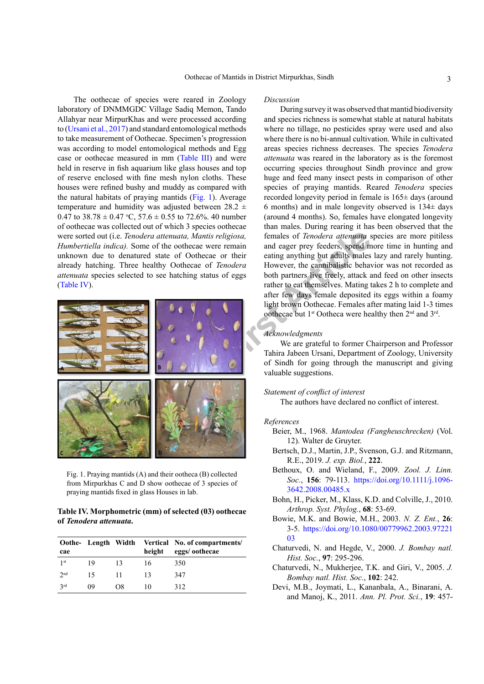The oothecae of species were reared in Zoology laboratory of DNMMGDC Village Sadiq Memon, Tando Allahyar near MirpurKhas and were processed according to [\(Ursani et al., 2017](#page-3-1)) and standard entomological methods to take measurement of Oothecae. Specimen's progression was according to model entomological methods and Egg case or oothecae measured in mm [\(Table III\)](#page-1-2) and were held in reserve in fish aquarium like glass houses and top of reserve enclosed with fine mesh nylon cloths. These houses were refined bushy and muddy as compared with the natural habitats of praying mantids ([Fig. 1](#page-2-8)). Average temperature and humidity was adjusted between  $28.2 \pm$ 0.47 to  $38.78 \pm 0.47$  °C,  $57.6 \pm 0.55$  to  $72.6\%$ . 40 number of oothecae was collected out of which 3 species oothecae were sorted out (i.e. *Tenodera attenuata, Mantis religiosa, Humbertiella indica).* Some of the oothecae were remain unknown due to denatured state of Oothecae or their already hatching. Three healthy Oothecae of *Tenodera attenuata* species selected to see hatching status of eggs [\(Table IV](#page-2-9)).



Fig. 1. Praying mantids (A) and their ootheca (B) collected from Mirpurkhas C and D show oothecae of 3 species of praying mantids fixed in glass Houses in lab.

# <span id="page-2-9"></span><span id="page-2-8"></span>**Table IV. Morphometric (mm) of selected (03) oothecae of** *Tenodera attenuata***.**

|                 |    |    |        | Oothe- Length Width Vertical No. of compartments/ |
|-----------------|----|----|--------|---------------------------------------------------|
| cae             |    |    | height | eggs/oothecae                                     |
| 1 <sup>st</sup> | 19 | 13 | 16     | 350                                               |
| 2 <sub>nd</sub> | 15 | 11 | 13     | 347                                               |
| 2rd             | 09 | O8 | 10     | 312                                               |

#### *Discussion*

During survey it was observed that mantid biodiversity and species richness is somewhat stable at natural habitats where no tillage, no pesticides spray were used and also where there is no bi-annual cultivation. While in cultivated areas species richness decreases. The species *Tenodera attenuata* was reared in the laboratory as is the foremost occurring species throughout Sindh province and grow huge and feed many insect pests in comparison of other species of praying mantids. Reared *Tenodera* species recorded longevity period in female is 165± days (around 6 months) and in male longevity observed is 134± days (around 4 months). So, females have elongated longevity than males. During rearing it has been observed that the females of *Tenodera attenuata* species are more pitiless and eager prey feeders, spend more time in hunting and eating anything but adults males lazy and rarely hunting. However, the cannibalistic behavior was not recorded as both partners live freely, attack and feed on other insects rather to eat themselves. Mating takes 2 h to complete and after few days female deposited its eggs within a foamy light brown Oothecae. Females after mating laid 1-3 times oothecae but 1st Ootheca were healthy then 2nd and 3rd.

## *Acknowledgments*

We are grateful to former Chairperson and Professor Tahira Jabeen Ursani, Department of Zoology, University of Sindh for going through the manuscript and giving valuable suggestions.

#### *Statement of conflict of interest*

The authors have declared no conflict of interest.

#### *References*

- <span id="page-2-0"></span>Beier, M., 1968. *Mantodea (Fangheuschrecken)* (Vol. 12). Walter de Gruyter.
- <span id="page-2-3"></span>Bertsch, D.J., Martin, J.P., Svenson, G.J. and Ritzmann, R.E., 2019. *J. exp. Biol.*, **222**.
- <span id="page-2-5"></span>Bethoux, O. and Wieland, F., 2009. *Zool. J. Linn. Soc.*, **156**: 79-113. [https://doi.org/10.1111/j.1096-](https://doi.org/10.1111/j.1096-3642.2008.00485.x) [3642.2008.00485.x](https://doi.org/10.1111/j.1096-3642.2008.00485.x)
- <span id="page-2-6"></span>Bohn, H., Picker, M., Klass, K.D. and Colville, J., 2010. *Arthrop. Syst. Phylog.*, **68**: 53-69.
- <span id="page-2-4"></span>Bowie, M.K. and Bowie, M.H., 2003. *N. Z. Ent.*, **26**: 3-5. [https://doi.org/10.1080/00779962.2003.97221](https://doi.org/10.1080/00779962.2003.9722103) [03](https://doi.org/10.1080/00779962.2003.9722103)
- <span id="page-2-1"></span>Chaturvedi, N. and Hegde, V., 2000. *J. Bombay natl. Hist. Soc.*, **97**: 295-296.
- <span id="page-2-2"></span>Chaturvedi, N., Mukherjee, T.K. and Giri, V., 2005. *J. Bombay natl. Hist. Soc.*, **102**: 242.
- <span id="page-2-7"></span>Devi, M.B., Joymati, L., Kananbala, A., Binarani, A. and Manoj, K., 2011. *Ann. Pl. Prot. Sci.*, **19**: 457-